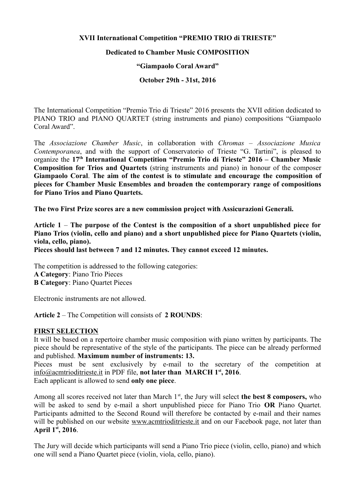## **XVII International Competition "PREMIO TRIO di TRIESTE"**

### **Dedicated to Chamber Music COMPOSITION**

#### **"Giampaolo Coral Award"**

## **October 29th - 31st, 2016**

The International Competition "Premio Trio di Trieste" 2016 presents the XVII edition dedicated to PIANO TRIO and PIANO QUARTET (string instruments and piano) compositions "Giampaolo Coral Award".

The *Associazione Chamber Music*, in collaboration with *Chromas – Associazione Musica Contemporanea*, and with the support of Conservatorio of Trieste "G. Tartini", is pleased to organize the **17th International Competition "Premio Trio di Trieste" 2016 – Chamber Music Composition for Trios and Quartets** (string instruments and piano) in honour of the composer **Giampaolo Coral**. **The aim of the contest is to stimulate and encourage the composition of pieces for Chamber Music Ensembles and broaden the contemporary range of compositions for Piano Trios and Piano Quartets.**

**The two First Prize scores are a new commission project with Assicurazioni Generali.**

**Article 1** – **The purpose of the Contest is the composition of a short unpublished piece for Piano Trios (violin, cello and piano) and a short unpublished piece for Piano Quartets (violin, viola, cello, piano).**

**Pieces should last between 7 and 12 minutes. They cannot exceed 12 minutes.** 

The competition is addressed to the following categories: **A Category**: Piano Trio Pieces **B Category**: Piano Quartet Pieces

Electronic instruments are not allowed.

**Article 2** – The Competition will consists of **2 ROUNDS**:

#### **FIRST SELECTION**

It will be based on a repertoire chamber music composition with piano written by participants. The piece should be representative of the style of the participants. The piece can be already performed and published. **Maximum number of instruments: 13.**

Pieces must be sent exclusively by e-mail to the secretary of the competition at info@acmtrioditrieste.it in PDF file, **not later than MARCH 1st, 2016**. Each applicant is allowed to send **only one piece**.

Among all scores received not later than March 1<sup>st</sup>, the Jury will select **the best 8 composers**, who will be asked to send by e-mail a short unpublished piece for Piano Trio **OR** Piano Quartet. Participants admitted to the Second Round will therefore be contacted by e-mail and their names will be published on our website www.acmtrioditrieste.it and on our Facebook page, not later than **April 1st, 2016**.

The Jury will decide which participants will send a Piano Trio piece (violin, cello, piano) and which one will send a Piano Quartet piece (violin, viola, cello, piano).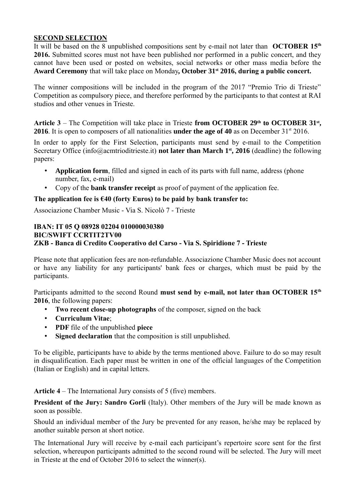## **SECOND SELECTION**

It will be based on the 8 unpublished compositions sent by e-mail not later than **OCTOBER 15th 2016.** Submitted scores must not have been published nor performed in a public concert, and they cannot have been used or posted on websites, social networks or other mass media before the **Award Ceremony** that will take place on Monday**, October 31st 2016, during a public concert.** 

The winner compositions will be included in the program of the 2017 "Premio Trio di Trieste" Competition as compulsory piece, and therefore performed by the participants to that contest at RAI studios and other venues in Trieste.

**Article 3** – The Competition will take place in Trieste **from OCTOBER 29th to OCTOBER 31st , 2016**. It is open to composers of all nationalities **under the age of 40** as on December 31<sup>st</sup> 2016.

In order to apply for the First Selection, participants must send by e-mail to the Competition Secretary Office (info@acmtrioditrieste.it) **not later than March 1st, 2016** (deadline) the following papers:

- **Application form**, filled and signed in each of its parts with full name, address (phone number, fax, e-mail)
- Copy of the **bank transfer receipt** as proof of payment of the application fee.

## **The application fee is €40 (forty Euros) to be paid by bank transfer to:**

Associazione Chamber Music - Via S. Nicolò 7 - Trieste

### **IBAN: IT 05 Q 08928 02204 010000030380 BIC/SWIFT CCRTIT2TV00 ZKB - Banca di Credito Cooperativo del Carso - Via S. Spiridione 7 - Trieste**

Please note that application fees are non-refundable. Associazione Chamber Music does not account or have any liability for any participants' bank fees or charges, which must be paid by the participants.

Participants admitted to the second Round **must send by e-mail, not later than OCTOBER 15th 2016**, the following papers:

- **Two recent close-up photographs** of the composer, signed on the back
- **Curriculum Vitae**;
- **PDF** file of the unpublished **piece**
- **Signed declaration** that the composition is still unpublished.

To be eligible, participants have to abide by the terms mentioned above. Failure to do so may result in disqualification. Each paper must be written in one of the official languages of the Competition (Italian or English) and in capital letters.

**Article 4** – The International Jury consists of 5 (five) members.

**President of the Jury: Sandro Gorli** (Italy). Other members of the Jury will be made known as soon as possible.

Should an individual member of the Jury be prevented for any reason, he/she may be replaced by another suitable person at short notice.

The International Jury will receive by e-mail each participant's repertoire score sent for the first selection, whereupon participants admitted to the second round will be selected. The Jury will meet in Trieste at the end of October 2016 to select the winner(s).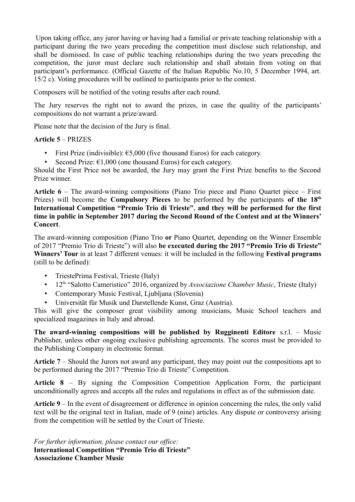Upon taking office, any juror having or having had a familial or private teaching relationship with a participant during the two years preceding the competition must disclose such relationship, and shall be dismissed. In case of public teaching relationships during the two years preceding the competition, the juror must declare such relationship and shall abstain from voting on that participant's performance. (Official Gazette of the Italian Republic No.10, 5 December 1994, art. 15/2 c). Voting procedures will be outlined to participants prior to the contest.

Composers will be notified of the voting results after each round.

The Jury reserves the right not to award the prizes, in case the quality of the participants' compositions do not warrant a prize/award.

Please note that the decision of the Jury is final.

## **Article 5** – PRIZES

- First Prize (indivisible):  $\epsilon$ 5,000 (five thousand Euros) for each category.
- Second Prize:  $\epsilon$ 1,000 (one thousand Euros) for each category.

Should the First Price not be awarded, the Jury may grant the First Prize benefits to the Second Prize winner.

**Article 6** – The award-winning compositions (Piano Trio piece and Piano Quartet piece – First Prizes) will become the **Compulsory Pieces** to be performed by the participants **of the 18th International Competition "Premio Trio di Trieste"**, **and they will be performed for the first time in public in September 2017 during the Second Round of the Contest and at the Winners' Concert**.

The award-winning composition (Piano Trio **or** Piano Quartet, depending on the Winner Ensemble of 2017 "Premio Trio di Trieste") will also **be executed during the 2017 "Premio Trio di Trieste" Winners' Tour** in at least 7 different venues: it will be included in the following **Festival programs** (still to be defined):

- TriestePrima Festival, Trieste (Italy)
- 12<sup>th</sup> "Salotto Cameristico" 2016, organized by *Associazione Chamber Music*, Trieste (Italy)
- Contemporary Music Festival, Ljubljana (Slovenia)
- Universität für Musik und Darstellende Kunst, Graz (Austria).

This will give the composer great visibility among musicians, Music School teachers and specialized magazines in Italy and abroad.

**The award-winning compositions will be published by Rugginenti Editore** s.r.l. – Music Publisher, unless other ongoing exclusive publishing agreements. The scores must be provided to the Publishing Company in electronic format.

**Article 7** – Should the Jurors not award any participant, they may point out the compositions apt to be performed during the 2017 "Premio Trio di Trieste" Competition.

**Article 8** – By signing the Composition Competition Application Form, the participant unconditionally agrees and accepts all the rules and regulations in effect as of the submission date.

**Article 9** – In the event of disagreement or difference in opinion concerning the rules, the only valid text will be the original text in Italian, made of 9 (nine) articles. Any dispute or controversy arising from the competition will be settled by the Court of Trieste.

*For further information, please contact our office:* **International Competition "Premio Trio di Trieste" Associazione Chamber Music**